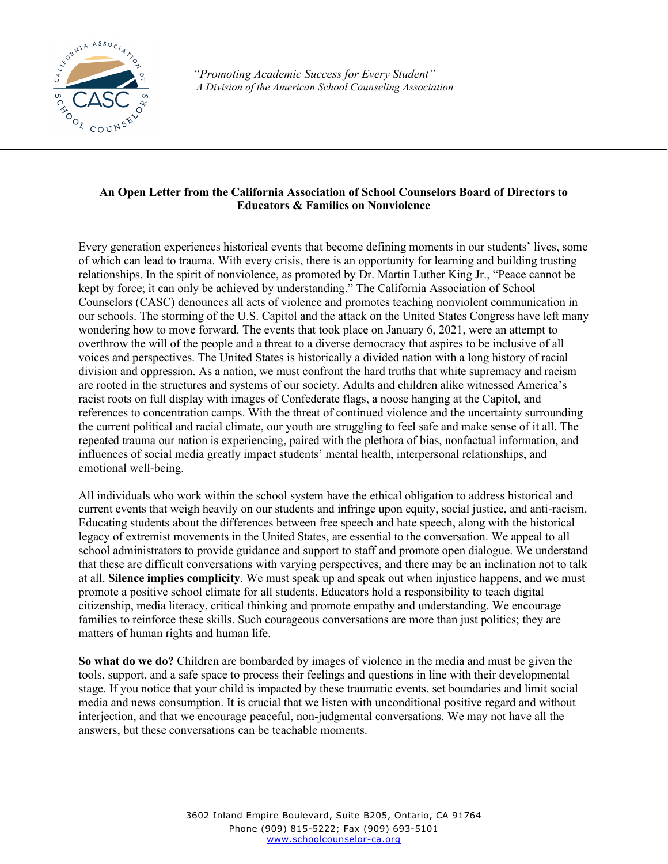

*"Promoting Academic Success for Every Student" A Division of the American School Counseling Association*

## **An Open Letter from the California Association of School Counselors Board of Directors to Educators & Families on Nonviolence**

Every generation experiences historical events that become defining moments in our students' lives, some of which can lead to trauma. With every crisis, there is an opportunity for learning and building trusting relationships. In the spirit of nonviolence, as promoted by Dr. Martin Luther King Jr., "Peace cannot be kept by force; it can only be achieved by understanding." The California Association of School Counselors (CASC) denounces all acts of violence and promotes teaching nonviolent communication in our schools. The storming of the U.S. Capitol and the attack on the United States Congress have left many wondering how to move forward. The events that took place on January 6, 2021, were an attempt to overthrow the will of the people and a threat to a diverse democracy that aspires to be inclusive of all voices and perspectives. The United States is historically a divided nation with a long history of racial division and oppression. As a nation, we must confront the hard truths that white supremacy and racism are rooted in the structures and systems of our society. Adults and children alike witnessed America's racist roots on full display with images of Confederate flags, a noose hanging at the Capitol, and references to concentration camps. With the threat of continued violence and the uncertainty surrounding the current political and racial climate, our youth are struggling to feel safe and make sense of it all. The repeated trauma our nation is experiencing, paired with the plethora of bias, nonfactual information, and influences of social media greatly impact students' mental health, interpersonal relationships, and emotional well-being.

All individuals who work within the school system have the ethical obligation to address historical and current events that weigh heavily on our students and infringe upon equity, social justice, and anti-racism. Educating students about the differences between free speech and hate speech, along with the historical legacy of extremist movements in the United States, are essential to the conversation. We appeal to all school administrators to provide guidance and support to staff and promote open dialogue. We understand that these are difficult conversations with varying perspectives, and there may be an inclination not to talk at all. **Silence implies complicity**. We must speak up and speak out when injustice happens, and we must promote a positive school climate for all students. Educators hold a responsibility to teach digital citizenship, media literacy, critical thinking and promote empathy and understanding. We encourage families to reinforce these skills. Such courageous conversations are more than just politics; they are matters of human rights and human life.

**So what do we do?** Children are bombarded by images of violence in the media and must be given the tools, support, and a safe space to process their feelings and questions in line with their developmental stage. If you notice that your child is impacted by these traumatic events, set boundaries and limit social media and news consumption. It is crucial that we listen with unconditional positive regard and without interjection, and that we encourage peaceful, non-judgmental conversations. We may not have all the answers, but these conversations can be teachable moments.